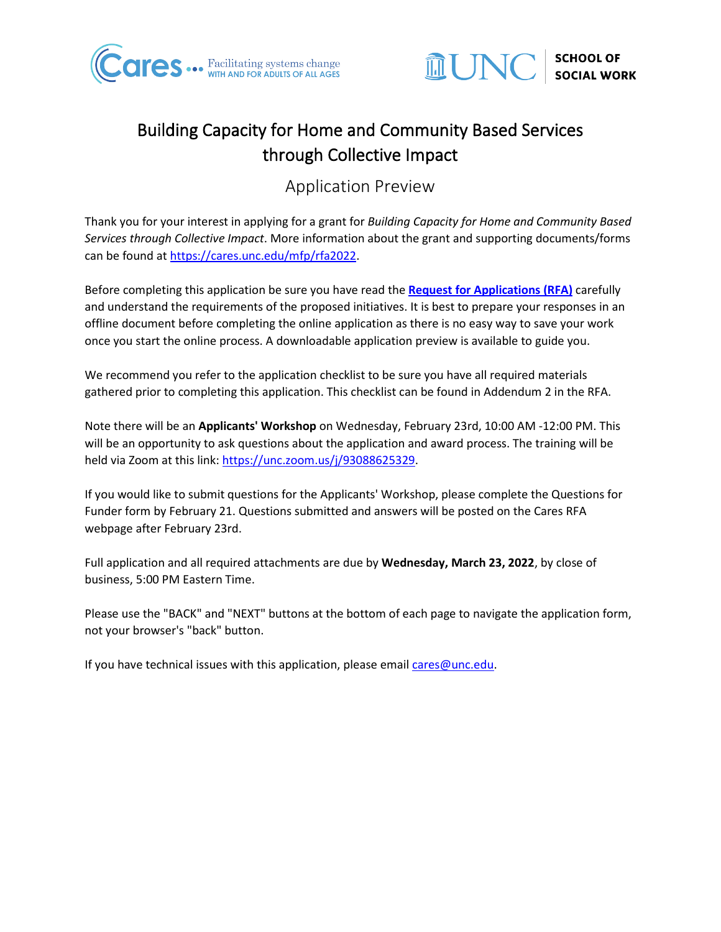



# Building Capacity for Home and Community Based Services through Collective Impact

Application Preview

Thank you for your interest in applying for a grant for *Building Capacity for Home and Community Based Services through Collective Impact*. More information about the grant and supporting documents/forms can be found at [https://cares.unc.edu/mfp/rfa2022.](https://cares.unc.edu/mfp/rfa2022)

Before completing this application be sure you have read the **[Request for Applications \(RFA\)](https://cares.unc.edu/wp-content/uploads/sites/22466/2022/02/Building-Capacity-for-HCBS-Final-RFA-2-1-22.pdf)** carefully and understand the requirements of the proposed initiatives. It is best to prepare your responses in an offline document before completing the online application as there is no easy way to save your work once you start the online process. A downloadable application preview is available to guide you.

We recommend you refer to the application checklist to be sure you have all required materials gathered prior to completing this application. This checklist can be found in Addendum 2 in the RFA.

Note there will be an **Applicants' Workshop** on Wednesday, February 23rd, 10:00 AM -12:00 PM. This will be an opportunity to ask questions about the application and award process. The training will be held via Zoom at this link: [https://unc.zoom.us/j/93088625329.](https://unc.zoom.us/j/93088625329)

If you would like to submit questions for the Applicants' Workshop, please complete the Questions for Funder form by February 21. Questions submitted and answers will be posted on the Cares RFA webpage after February 23rd.

Full application and all required attachments are due by **Wednesday, March 23, 2022**, by close of business, 5:00 PM Eastern Time.

Please use the "BACK" and "NEXT" buttons at the bottom of each page to navigate the application form, not your browser's "back" button.

If you have technical issues with this application, please email [cares@unc.edu.](mailto:cares@unc.edu?subject=Building%20Capacity%20for%20HCBS%20-%20Application%20Question)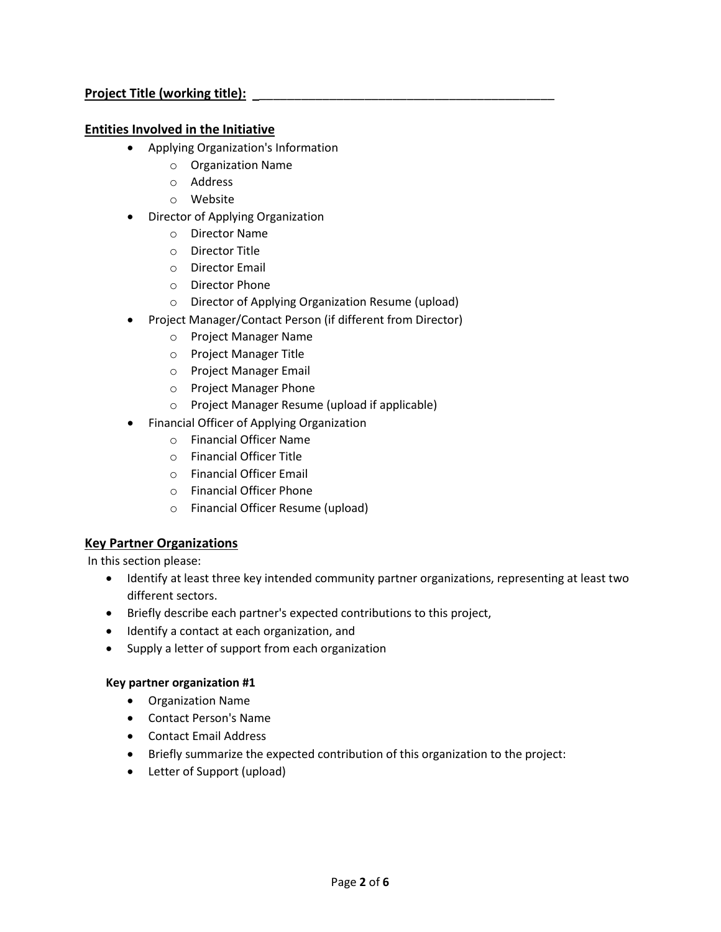# **Project Title (working title):** \_\_\_\_\_\_\_\_\_\_\_\_\_\_\_\_\_\_\_\_\_\_\_\_\_\_\_\_\_\_\_\_\_\_\_\_\_\_\_\_\_\_

#### **Entities Involved in the Initiative**

- Applying Organization's Information
	- o Organization Name
	- o Address
	- o Website
- Director of Applying Organization
	- o Director Name
	- o Director Title
	- o Director Email
	- o Director Phone
	- o Director of Applying Organization Resume (upload)
- Project Manager/Contact Person (if different from Director)
	- o Project Manager Name
	- o Project Manager Title
	- o Project Manager Email
	- o Project Manager Phone
	- o Project Manager Resume (upload if applicable)
- Financial Officer of Applying Organization
	- o Financial Officer Name
	- o Financial Officer Title
	- o Financial Officer Email
	- o Financial Officer Phone
	- o Financial Officer Resume (upload)

# **Key Partner Organizations**

In this section please:

- Identify at least three key intended community partner organizations, representing at least two different sectors.
- Briefly describe each partner's expected contributions to this project,
- Identify a contact at each organization, and
- Supply a letter of support from each organization

#### **Key partner organization #1**

- Organization Name
- Contact Person's Name
- Contact Email Address
- Briefly summarize the expected contribution of this organization to the project:
- Letter of Support (upload)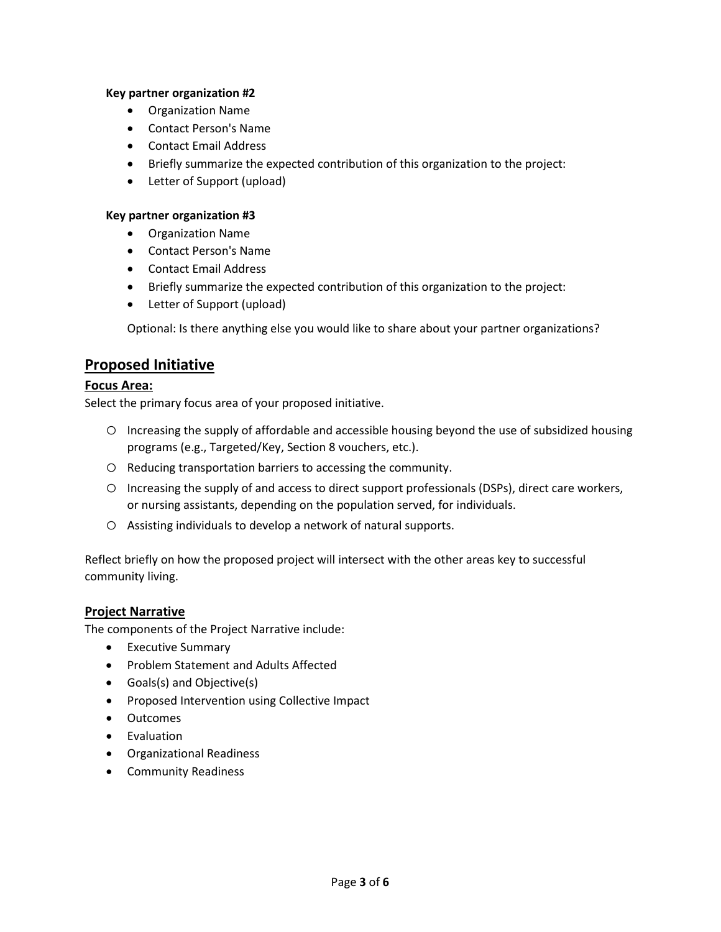#### **Key partner organization #2**

- Organization Name
- Contact Person's Name
- Contact Email Address
- Briefly summarize the expected contribution of this organization to the project:
- Letter of Support (upload)

#### **Key partner organization #3**

- Organization Name
- Contact Person's Name
- Contact Email Address
- Briefly summarize the expected contribution of this organization to the project:
- Letter of Support (upload)

Optional: Is there anything else you would like to share about your partner organizations?

# **Proposed Initiative**

# **Focus Area:**

Select the primary focus area of your proposed initiative.

- o Increasing the supply of affordable and accessible housing beyond the use of subsidized housing programs (e.g., Targeted/Key, Section 8 vouchers, etc.).
- o Reducing transportation barriers to accessing the community.
- o Increasing the supply of and access to direct support professionals (DSPs), direct care workers, or nursing assistants, depending on the population served, for individuals.
- o Assisting individuals to develop a network of natural supports.

Reflect briefly on how the proposed project will intersect with the other areas key to successful community living.

#### **Project Narrative**

The components of the Project Narrative include:

- Executive Summary
- Problem Statement and Adults Affected
- Goals(s) and Objective(s)
- Proposed Intervention using Collective Impact
- Outcomes
- Evaluation
- Organizational Readiness
- Community Readiness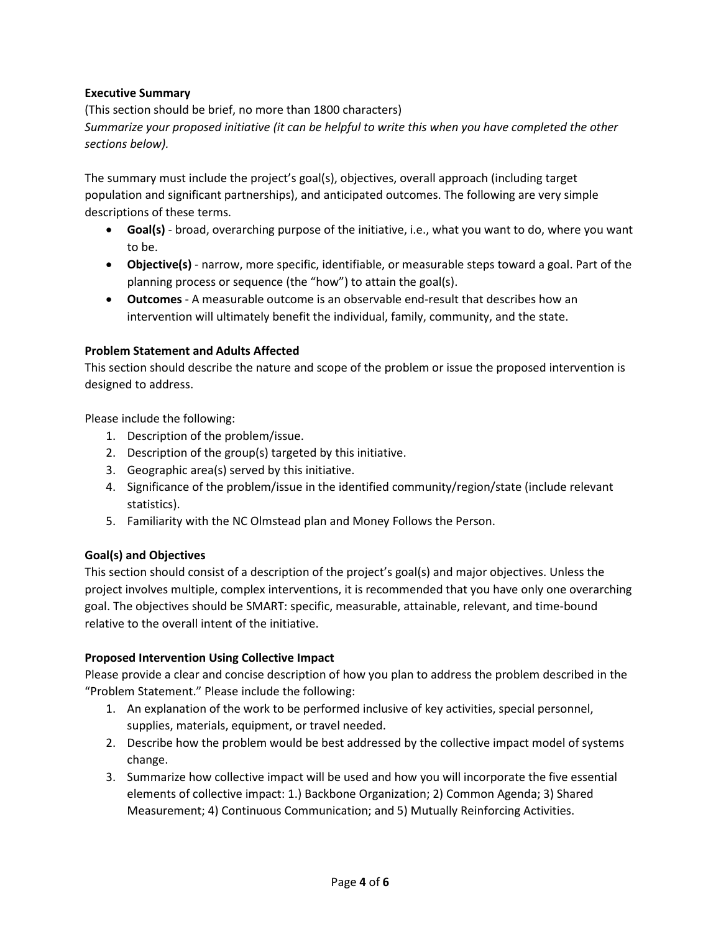## **Executive Summary**

(This section should be brief, no more than 1800 characters) *Summarize your proposed initiative (it can be helpful to write this when you have completed the other sections below).* 

The summary must include the project's goal(s), objectives, overall approach (including target population and significant partnerships), and anticipated outcomes. The following are very simple descriptions of these terms.

- **Goal(s)** broad, overarching purpose of the initiative, i.e., what you want to do, where you want to be.
- **Objective(s)** narrow, more specific, identifiable, or measurable steps toward a goal. Part of the planning process or sequence (the "how") to attain the goal(s).
- **Outcomes** A measurable outcome is an observable end-result that describes how an intervention will ultimately benefit the individual, family, community, and the state.

#### **Problem Statement and Adults Affected**

This section should describe the nature and scope of the problem or issue the proposed intervention is designed to address.

Please include the following:

- 1. Description of the problem/issue.
- 2. Description of the group(s) targeted by this initiative.
- 3. Geographic area(s) served by this initiative.
- 4. Significance of the problem/issue in the identified community/region/state (include relevant statistics).
- 5. Familiarity with the NC Olmstead plan and Money Follows the Person.

#### **Goal(s) and Objectives**

This section should consist of a description of the project's goal(s) and major objectives. Unless the project involves multiple, complex interventions, it is recommended that you have only one overarching goal. The objectives should be SMART: specific, measurable, attainable, relevant, and time-bound relative to the overall intent of the initiative.

#### **Proposed Intervention Using Collective Impact**

Please provide a clear and concise description of how you plan to address the problem described in the "Problem Statement." Please include the following:

- 1. An explanation of the work to be performed inclusive of key activities, special personnel, supplies, materials, equipment, or travel needed.
- 2. Describe how the problem would be best addressed by the collective impact model of systems change.
- 3. Summarize how collective impact will be used and how you will incorporate the five essential elements of collective impact: 1.) Backbone Organization; 2) Common Agenda; 3) Shared Measurement; 4) Continuous Communication; and 5) Mutually Reinforcing Activities.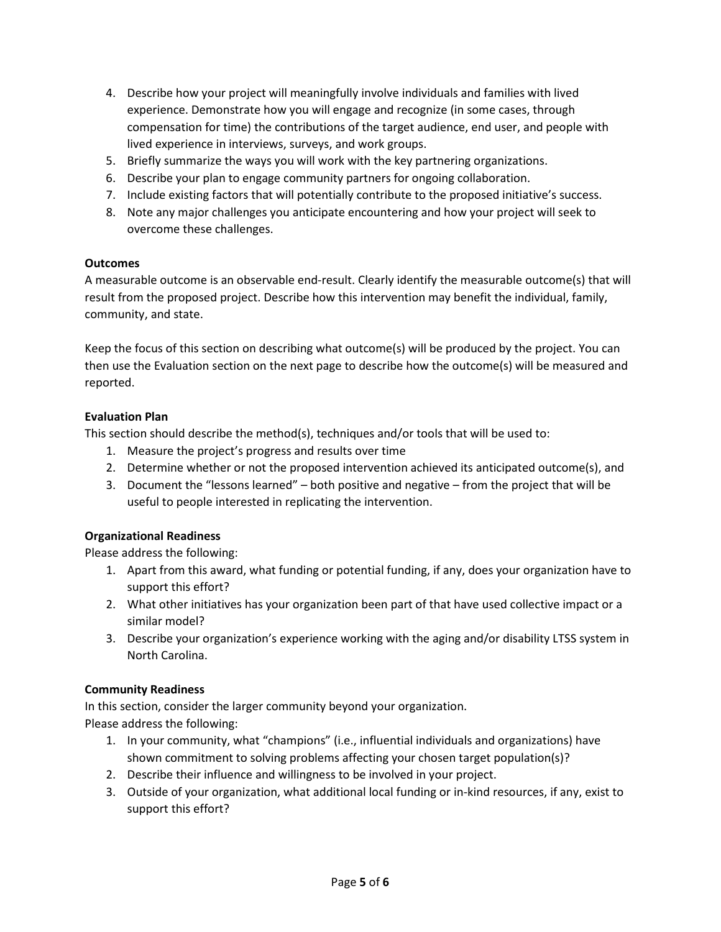- 4. Describe how your project will meaningfully involve individuals and families with lived experience. Demonstrate how you will engage and recognize (in some cases, through compensation for time) the contributions of the target audience, end user, and people with lived experience in interviews, surveys, and work groups.
- 5. Briefly summarize the ways you will work with the key partnering organizations.
- 6. Describe your plan to engage community partners for ongoing collaboration.
- 7. Include existing factors that will potentially contribute to the proposed initiative's success.
- 8. Note any major challenges you anticipate encountering and how your project will seek to overcome these challenges.

#### **Outcomes**

A measurable outcome is an observable end-result. Clearly identify the measurable outcome(s) that will result from the proposed project. Describe how this intervention may benefit the individual, family, community, and state.

Keep the focus of this section on describing what outcome(s) will be produced by the project. You can then use the Evaluation section on the next page to describe how the outcome(s) will be measured and reported.

## **Evaluation Plan**

This section should describe the method(s), techniques and/or tools that will be used to:

- 1. Measure the project's progress and results over time
- 2. Determine whether or not the proposed intervention achieved its anticipated outcome(s), and
- 3. Document the "lessons learned" both positive and negative from the project that will be useful to people interested in replicating the intervention.

#### **Organizational Readiness**

Please address the following:

- 1. Apart from this award, what funding or potential funding, if any, does your organization have to support this effort?
- 2. What other initiatives has your organization been part of that have used collective impact or a similar model?
- 3. Describe your organization's experience working with the aging and/or disability LTSS system in North Carolina.

#### **Community Readiness**

In this section, consider the larger community beyond your organization. Please address the following:

- 1. In your community, what "champions" (i.e., influential individuals and organizations) have shown commitment to solving problems affecting your chosen target population(s)?
- 2. Describe their influence and willingness to be involved in your project.
- 3. Outside of your organization, what additional local funding or in-kind resources, if any, exist to support this effort?